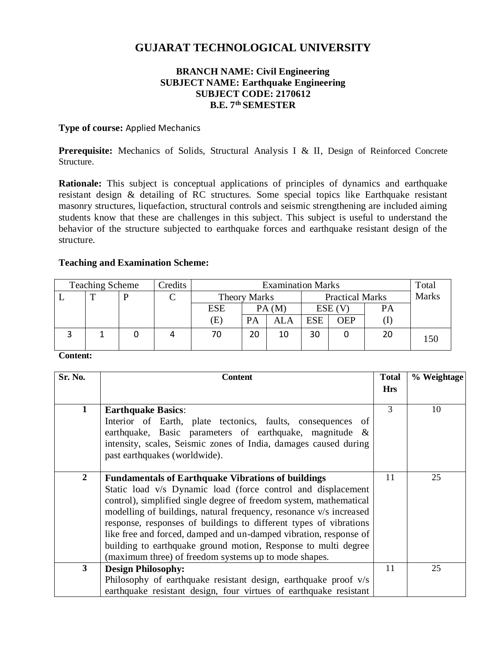# **GUJARAT TECHNOLOGICAL UNIVERSITY**

### **BRANCH NAME: Civil Engineering SUBJECT NAME: Earthquake Engineering SUBJECT CODE: 2170612 B.E. 7 th SEMESTER**

#### **Type of course:** Applied Mechanics

Prerequisite: Mechanics of Solids, Structural Analysis I & II, Design of Reinforced Concrete Structure.

**Rationale:** This subject is conceptual applications of principles of dynamics and earthquake resistant design & detailing of RC structures. Some special topics like Earthquake resistant masonry structures, liquefaction, structural controls and seismic strengthening are included aiming students know that these are challenges in this subject. This subject is useful to understand the behavior of the structure subjected to earthquake forces and earthquake resistant design of the structure.

#### **Teaching and Examination Scheme:**

| <b>Teaching Scheme</b> |   | Credits | <b>Examination Marks</b> |                     |           |                        | Total      |              |    |  |
|------------------------|---|---------|--------------------------|---------------------|-----------|------------------------|------------|--------------|----|--|
|                        | ௱ | D       |                          | <b>Theory Marks</b> |           | <b>Practical Marks</b> |            | <b>Marks</b> |    |  |
|                        |   |         |                          | ESE                 |           | PA(M)                  |            | $ESE$ $(V)$  | PA |  |
|                        |   |         |                          | (E)                 | <b>PA</b> | ALA                    | <b>ESE</b> | OEP          |    |  |
|                        |   |         |                          | 70                  | 20        | 10                     | 30         |              | 20 |  |

#### **Content:**

| Sr. No.        | <b>Content</b>                                                                                                                                                                                                                                                                                                                                                                                                                                                                                                                             | <b>Total</b> | % Weightage |
|----------------|--------------------------------------------------------------------------------------------------------------------------------------------------------------------------------------------------------------------------------------------------------------------------------------------------------------------------------------------------------------------------------------------------------------------------------------------------------------------------------------------------------------------------------------------|--------------|-------------|
|                |                                                                                                                                                                                                                                                                                                                                                                                                                                                                                                                                            | <b>Hrs</b>   |             |
| 1              | <b>Earthquake Basics:</b><br>Interior of Earth, plate tectonics, faults, consequences of<br>earthquake, Basic parameters of earthquake, magnitude &<br>intensity, scales, Seismic zones of India, damages caused during<br>past earthquakes (worldwide).                                                                                                                                                                                                                                                                                   | 3            | 10          |
| $\overline{2}$ | <b>Fundamentals of Earthquake Vibrations of buildings</b><br>Static load v/s Dynamic load (force control and displacement<br>control), simplified single degree of freedom system, mathematical<br>modelling of buildings, natural frequency, resonance v/s increased<br>response, responses of buildings to different types of vibrations<br>like free and forced, damped and un-damped vibration, response of<br>building to earthquake ground motion, Response to multi degree<br>(maximum three) of freedom systems up to mode shapes. | 11           | 25          |
| $\mathbf{3}$   | <b>Design Philosophy:</b><br>Philosophy of earthquake resistant design, earthquake proof v/s<br>earthquake resistant design, four virtues of earthquake resistant                                                                                                                                                                                                                                                                                                                                                                          | 11           | 25          |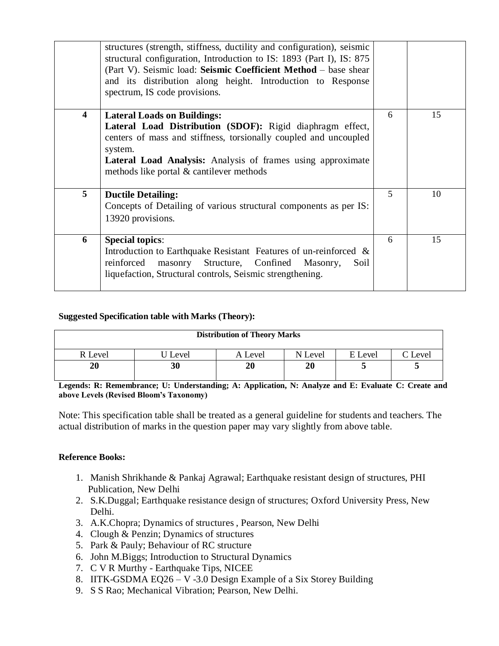|                         | structures (strength, stiffness, ductility and configuration), seismic<br>structural configuration, Introduction to IS: 1893 (Part I), IS: 875<br>(Part V). Seismic load: Seismic Coefficient Method - base shear<br>and its distribution along height. Introduction to Response<br>spectrum, IS code provisions. |   |    |
|-------------------------|-------------------------------------------------------------------------------------------------------------------------------------------------------------------------------------------------------------------------------------------------------------------------------------------------------------------|---|----|
| $\overline{\mathbf{4}}$ | <b>Lateral Loads on Buildings:</b><br>Lateral Load Distribution (SDOF): Rigid diaphragm effect,<br>centers of mass and stiffness, torsionally coupled and uncoupled<br>system.<br><b>Lateral Load Analysis:</b> Analysis of frames using approximate<br>methods like portal & cantilever methods                  | 6 | 15 |
| 5                       | <b>Ductile Detailing:</b><br>Concepts of Detailing of various structural components as per IS:<br>13920 provisions.                                                                                                                                                                                               | 5 | 10 |
| 6                       | <b>Special topics:</b><br>Introduction to Earthquake Resistant Features of un-reinforced &<br>masonry Structure, Confined Masonry,<br>reinforced<br>Soil<br>liquefaction, Structural controls, Seismic strengthening.                                                                                             | 6 | 15 |

#### **Suggested Specification table with Marks (Theory):**

| <b>Distribution of Theory Marks</b> |         |         |         |         |                 |  |  |
|-------------------------------------|---------|---------|---------|---------|-----------------|--|--|
| R Level                             | U Level | A Level | N Level | E Level | $\degree$ Level |  |  |
| 20                                  | 30      | 20      | 20      |         |                 |  |  |

**Legends: R: Remembrance; U: Understanding; A: Application, N: Analyze and E: Evaluate C: Create and above Levels (Revised Bloom's Taxonomy)**

Note: This specification table shall be treated as a general guideline for students and teachers. The actual distribution of marks in the question paper may vary slightly from above table.

#### **Reference Books:**

- 1. Manish Shrikhande & Pankaj Agrawal; Earthquake resistant design of structures, PHI Publication, New Delhi
- 2. S.K.Duggal; Earthquake resistance design of structures; Oxford University Press, New Delhi.
- 3. A.K.Chopra; Dynamics of structures , Pearson, New Delhi
- 4. Clough & Penzin; Dynamics of structures
- 5. Park & Pauly; Behaviour of RC structure
- 6. John M.Biggs; Introduction to Structural Dynamics
- 7. C V R Murthy Earthquake Tips, NICEE
- 8. IITK-GSDMA EQ26 V -3.0 Design Example of a Six Storey Building
- 9. S S Rao; Mechanical Vibration; Pearson, New Delhi.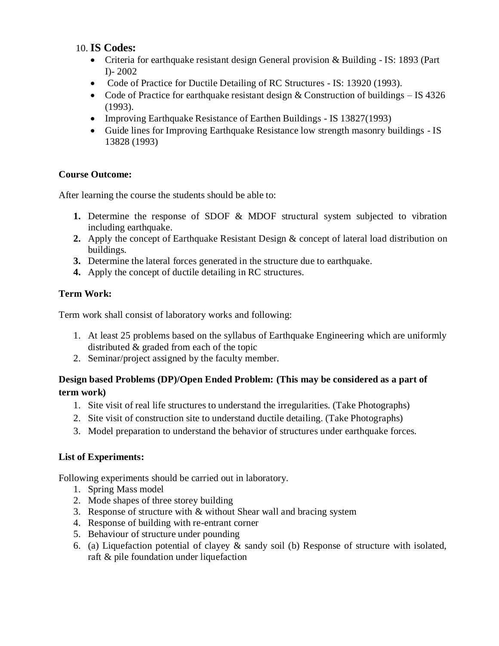## 10. **IS Codes:**

- Criteria for earthquake resistant design General provision & Building IS: 1893 (Part I)- 2002
- Code of Practice for Ductile Detailing of RC Structures IS: 13920 (1993).
- Code of Practice for earthquake resistant design & Construction of buildings IS 4326 (1993).
- Improving Earthquake Resistance of Earthen Buildings IS 13827(1993)
- Guide lines for Improving Earthquake Resistance low strength masonry buildings IS 13828 (1993)

## **Course Outcome:**

After learning the course the students should be able to:

- **1.** Determine the response of SDOF & MDOF structural system subjected to vibration including earthquake.
- **2.** Apply the concept of Earthquake Resistant Design & concept of lateral load distribution on buildings.
- **3.** Determine the lateral forces generated in the structure due to earthquake.
- **4.** Apply the concept of ductile detailing in RC structures.

## **Term Work:**

Term work shall consist of laboratory works and following:

- 1. At least 25 problems based on the syllabus of Earthquake Engineering which are uniformly distributed & graded from each of the topic
- 2. Seminar/project assigned by the faculty member.

## **Design based Problems (DP)/Open Ended Problem: (This may be considered as a part of term work)**

- 1. Site visit of real life structures to understand the irregularities. (Take Photographs)
- 2. Site visit of construction site to understand ductile detailing. (Take Photographs)
- 3. Model preparation to understand the behavior of structures under earthquake forces.

## **List of Experiments:**

Following experiments should be carried out in laboratory.

- 1. Spring Mass model
- 2. Mode shapes of three storey building
- 3. Response of structure with & without Shear wall and bracing system
- 4. Response of building with re-entrant corner
- 5. Behaviour of structure under pounding
- 6. (a) Liquefaction potential of clayey & sandy soil (b) Response of structure with isolated, raft & pile foundation under liquefaction